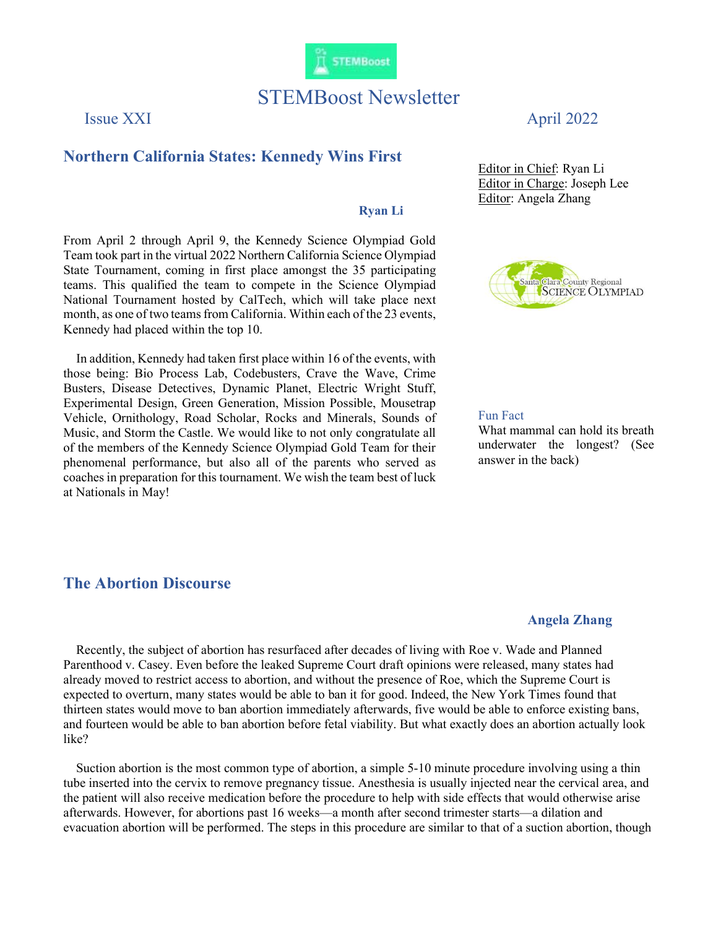

# STEMBoost Newsletter

## Northern California States: Kennedy Wins First

### Ryan Li

From April 2 through April 9, the Kennedy Science Olympiad Gold Team took part in the virtual 2022 Northern California Science Olympiad State Tournament, coming in first place amongst the 35 participating teams. This qualified the team to compete in the Science Olympiad National Tournament hosted by CalTech, which will take place next month, as one of two teams from California. Within each of the 23 events, Kennedy had placed within the top 10.

 In addition, Kennedy had taken first place within 16 of the events, with those being: Bio Process Lab, Codebusters, Crave the Wave, Crime Busters, Disease Detectives, Dynamic Planet, Electric Wright Stuff, Experimental Design, Green Generation, Mission Possible, Mousetrap Vehicle, Ornithology, Road Scholar, Rocks and Minerals, Sounds of Music, and Storm the Castle. We would like to not only congratulate all of the members of the Kennedy Science Olympiad Gold Team for their phenomenal performance, but also all of the parents who served as coaches in preparation for this tournament. We wish the team best of luck at Nationals in May!

#### The Abortion Discourse

## Issue XXI April 2022

Editor in Chief: Ryan Li Editor in Charge: Joseph Lee Editor: Angela Zhang



#### Fun Fact

What mammal can hold its breath underwater the longest? (See answer in the back)

#### Angela Zhang

 Recently, the subject of abortion has resurfaced after decades of living with Roe v. Wade and Planned Parenthood v. Casey. Even before the leaked Supreme Court draft opinions were released, many states had already moved to restrict access to abortion, and without the presence of Roe, which the Supreme Court is expected to overturn, many states would be able to ban it for good. Indeed, the New York Times found that thirteen states would move to ban abortion immediately afterwards, five would be able to enforce existing bans, and fourteen would be able to ban abortion before fetal viability. But what exactly does an abortion actually look like?

 Suction abortion is the most common type of abortion, a simple 5-10 minute procedure involving using a thin tube inserted into the cervix to remove pregnancy tissue. Anesthesia is usually injected near the cervical area, and the patient will also receive medication before the procedure to help with side effects that would otherwise arise afterwards. However, for abortions past 16 weeks—a month after second trimester starts—a dilation and evacuation abortion will be performed. The steps in this procedure are similar to that of a suction abortion, though